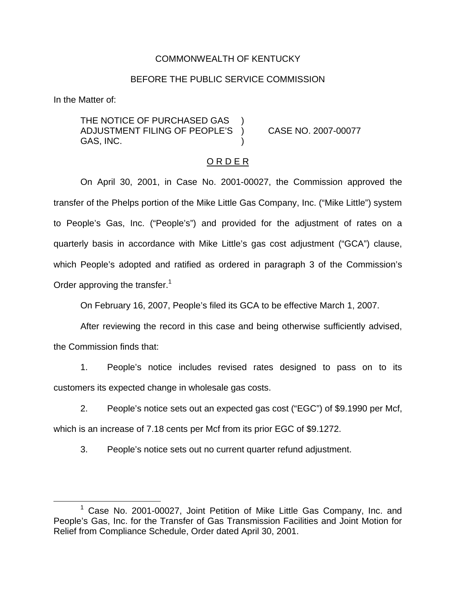### COMMONWEALTH OF KENTUCKY

#### BEFORE THE PUBLIC SERVICE COMMISSION

In the Matter of:

THE NOTICE OF PURCHASED GAS ADJUSTMENT FILING OF PEOPLE'S ) CASE NO. 2007-00077 GAS, INC. )

#### O R D E R

On April 30, 2001, in Case No. 2001-00027, the Commission approved the transfer of the Phelps portion of the Mike Little Gas Company, Inc. ("Mike Little") system to People's Gas, Inc. ("People's") and provided for the adjustment of rates on a quarterly basis in accordance with Mike Little's gas cost adjustment ("GCA") clause, which People's adopted and ratified as ordered in paragraph 3 of the Commission's Order approving the transfer.<sup>1</sup>

On February 16, 2007, People's filed its GCA to be effective March 1, 2007.

After reviewing the record in this case and being otherwise sufficiently advised, the Commission finds that:

1. People's notice includes revised rates designed to pass on to its customers its expected change in wholesale gas costs.

2. People's notice sets out an expected gas cost ("EGC") of \$9.1990 per Mcf, which is an increase of 7.18 cents per Mcf from its prior EGC of \$9.1272.

3. People's notice sets out no current quarter refund adjustment.

<sup>1</sup> Case No. 2001-00027, Joint Petition of Mike Little Gas Company, Inc. and People's Gas, Inc. for the Transfer of Gas Transmission Facilities and Joint Motion for Relief from Compliance Schedule, Order dated April 30, 2001.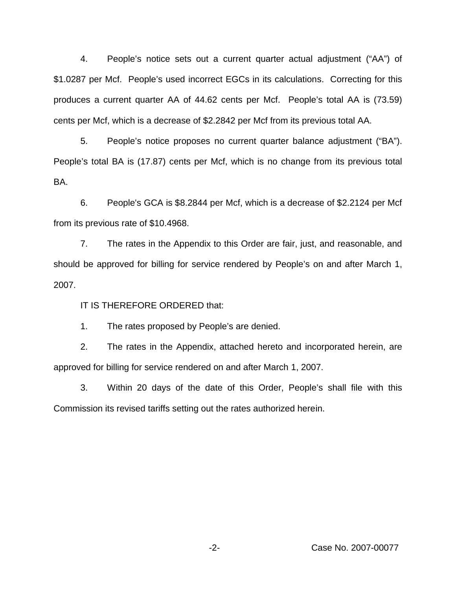4. People's notice sets out a current quarter actual adjustment ("AA") of \$1.0287 per Mcf. People's used incorrect EGCs in its calculations. Correcting for this produces a current quarter AA of 44.62 cents per Mcf. People's total AA is (73.59) cents per Mcf, which is a decrease of \$2.2842 per Mcf from its previous total AA.

5. People's notice proposes no current quarter balance adjustment ("BA"). People's total BA is (17.87) cents per Mcf, which is no change from its previous total BA.

6. People's GCA is \$8.2844 per Mcf, which is a decrease of \$2.2124 per Mcf from its previous rate of \$10.4968.

7. The rates in the Appendix to this Order are fair, just, and reasonable, and should be approved for billing for service rendered by People's on and after March 1, 2007.

IT IS THEREFORE ORDERED that:

1. The rates proposed by People's are denied.

2. The rates in the Appendix, attached hereto and incorporated herein, are approved for billing for service rendered on and after March 1, 2007.

3. Within 20 days of the date of this Order, People's shall file with this Commission its revised tariffs setting out the rates authorized herein.

-2- Case No. 2007-00077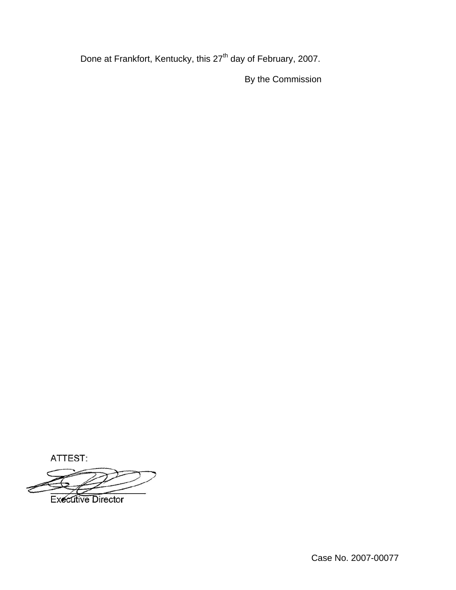Done at Frankfort, Kentucky, this 27<sup>th</sup> day of February, 2007.

By the Commission

ATTEST:

**Executive Director**